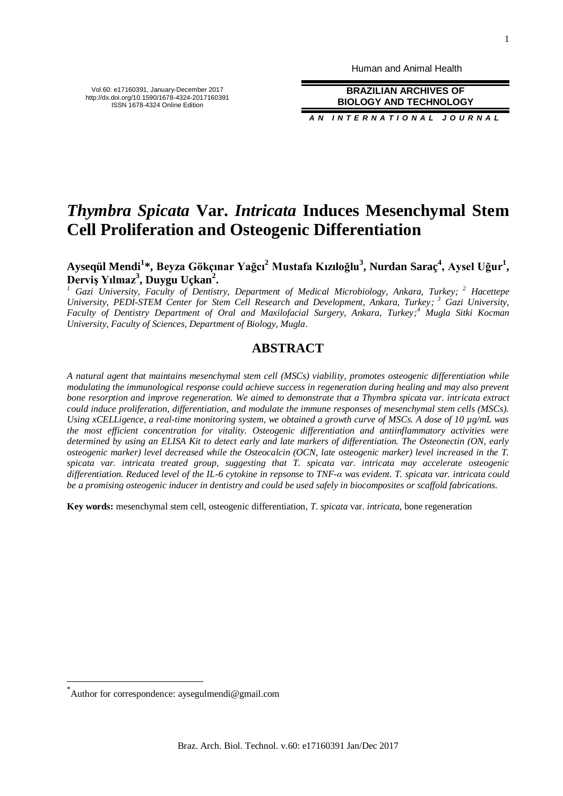Human and Animal Health

**BRAZILIAN ARCHIVES OF BIOLOGY AND TECHNOLOGY**

*A N I N T E R N A T I O N A L J O U R N A L*

# *Thymbra Spicata* **Var.** *Intricata* **Induces Mesenchymal Stem Cell Proliferation and Osteogenic Differentiation**

**Ayseqül Mendi<sup>1</sup> \*, Beyza Gökçınar Yağcı<sup>2</sup> Mustafa Kızıloğlu<sup>3</sup> , Nurdan Saraç<sup>4</sup> , Aysel Uğur<sup>1</sup> , Derviş Yılmaz<sup>3</sup> , Duygu Uçkan<sup>2</sup> .**

*<sup>1</sup> Gazi University, Faculty of Dentistry, Department of Medical Microbiology, Ankara, Turkey; <sup>2</sup> Hacettepe University, PEDI-STEM Center for Stem Cell Research and Development, Ankara, Turkey; <sup>3</sup> Gazi University, Faculty of Dentistry Department of Oral and Maxilofacial Surgery, Ankara, Turkey; <sup>4</sup> Mugla Sitki Kocman University, Faculty of Sciences, Department of Biology, Mugla.*

# **ABSTRACT**

*A natural agent that maintains mesenchymal stem cell (MSCs) viability, promotes osteogenic differentiation while modulating the immunological response could achieve success in regeneration during healing and may also prevent bone resorption and improve regeneration. We aimed to demonstrate that a Thymbra spicata var. intricata extract could induce proliferation, differentiation, and modulate the immune responses of mesenchymal stem cells (MSCs). Using xCELLigence, a real-time monitoring system, we obtained a growth curve of MSCs. A dose of 10 µg/mL was the most efficient concentration for vitality. Osteogenic differentiation and antiinflammatory activities were determined by using an ELISA Kit to detect early and late markers of differentiation. The Osteonectin (ON, early osteogenic marker) level decreased while the Osteocalcin (OCN, late osteogenic marker) level increased in the T. spicata var. intricata treated group, suggesting that T. spicata var. intricata may accelerate osteogenic differentiation. Reduced level of the IL-6 cytokine in repsonse to TNF-α was evident. T. spicata var. intricata could be a promising osteogenic inducer in dentistry and could be used safely in biocomposites or scaffold fabrications.* 

**Key words:** mesenchymal stem cell, osteogenic differentiation, *T. spicata* var. *intricata*, bone regeneration

l



<sup>\*</sup> Author for correspondence: aysegulmendi@gmail.com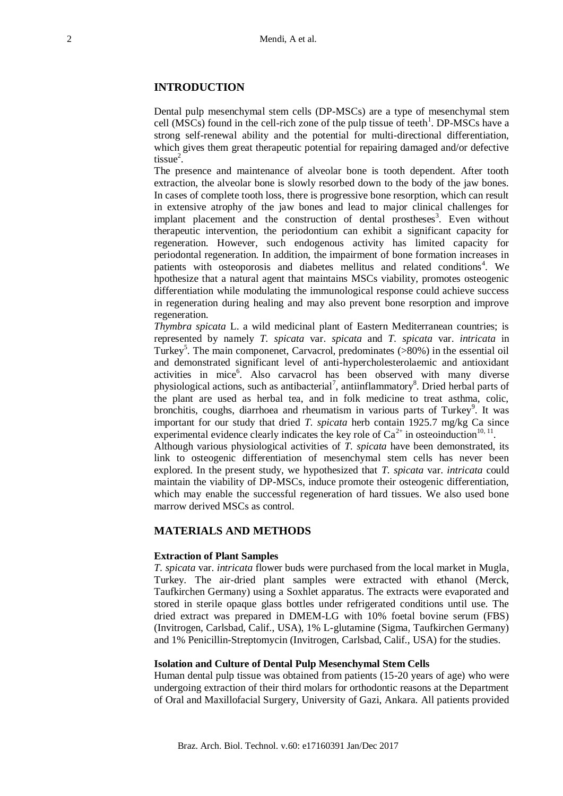# **INTRODUCTION**

Dental pulp mesenchymal stem cells (DP-MSCs) are a type of mesenchymal stem cell  $(MSCs)$  found in the cell-rich zone of the pulp tissue of teeth<sup>1</sup>. DP-MSCs have a strong self-renewal ability and the potential for multi-directional differentiation, which gives them great therapeutic potential for repairing damaged and/or defective  $tissue<sup>2</sup>$ .

The presence and maintenance of alveolar bone is tooth dependent. After tooth extraction, the alveolar bone is slowly resorbed down to the body of the jaw bones. In cases of complete tooth loss, there is progressive bone resorption, which can result in extensive atrophy of the jaw bones and lead to major clinical challenges for implant placement and the construction of dental prostheses<sup>3</sup>. Even without therapeutic intervention, the periodontium can exhibit a significant capacity for regeneration. However, such endogenous activity has limited capacity for periodontal regeneration. In addition, the impairment of bone formation increases in patients with osteoporosis and diabetes mellitus and related conditions<sup>4</sup>. We hpothesize that a natural agent that maintains MSCs viability, promotes osteogenic differentiation while modulating the immunological response could achieve success in regeneration during healing and may also prevent bone resorption and improve regeneration.

*Thymbra spicata* L. a wild medicinal plant of Eastern Mediterranean countries; is represented by namely *T. spicata* var. *spicata* and *T. spicata* var. *intricata* in Turkey<sup>5</sup>. The main componenet, Carvacrol, predominates (>80%) in the essential oil and demonstrated significant level of anti-hypercholesterolaemic and antioxidant activities in mice<sup>6</sup>. Also carvacrol has been observed with many diverse physiological actions, such as antibacterial<sup>7</sup>, antiinflammatory<sup>8</sup>. Dried herbal parts of the plant are used as herbal tea, and in folk medicine to treat asthma, colic, bronchitis, coughs, diarrhoea and rheumatism in various parts of Turkey<sup>9</sup>. It was important for our study that dried *T. spicata* herb contain 1925.7 mg/kg Ca since experimental evidence clearly indicates the key role of  $Ca^{2+}$  in osteoinduction<sup>10, 11</sup>.

Although various physiological activities of *T. spicata* have been demonstrated, its link to osteogenic differentiation of mesenchymal stem cells has never been explored. In the present study, we hypothesized that *T. spicata* var. *intricata* could maintain the viability of DP-MSCs, induce promote their osteogenic differentiation, which may enable the successful regeneration of hard tissues. We also used bone marrow derived MSCs as control.

## **MATERIALS AND METHODS**

#### **Extraction of Plant Samples**

*T. spicata* var. *intricata* flower buds were purchased from the local market in Mugla, Turkey. The air-dried plant samples were extracted with ethanol (Merck, Taufkirchen Germany) using a Soxhlet apparatus. The extracts were evaporated and stored in sterile opaque glass bottles under refrigerated conditions until use. The dried extract was prepared in DMEM-LG with 10% foetal bovine serum (FBS) (Invitrogen, Carlsbad, Calif., USA), 1% L-glutamine (Sigma, Taufkirchen Germany) and 1% Penicillin-Streptomycin (Invitrogen, Carlsbad, Calif., USA) for the studies.

#### **Isolation and Culture of Dental Pulp Mesenchymal Stem Cells**

Human dental pulp tissue was obtained from patients (15-20 years of age) who were undergoing extraction of their third molars for orthodontic reasons at the Department of Oral and Maxillofacial Surgery, University of Gazi, Ankara. All patients provided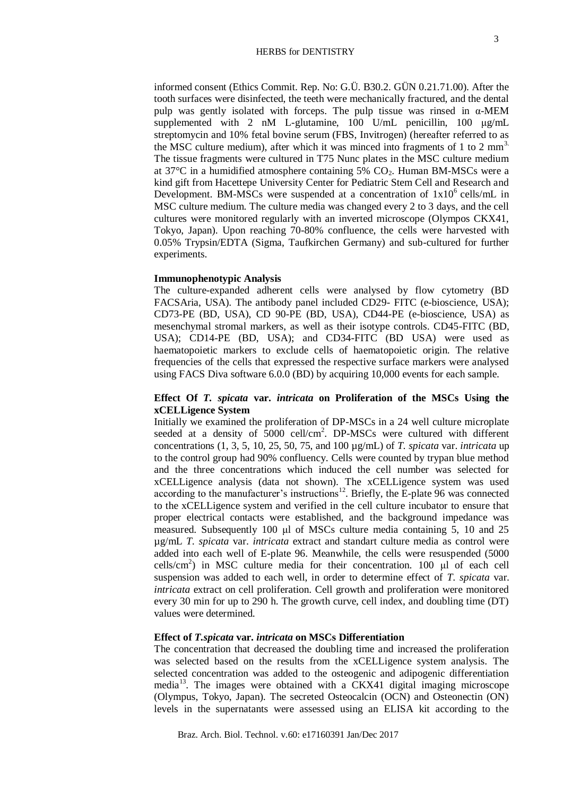informed consent (Ethics Commit. Rep. No: G.Ü. B30.2. GÜN 0.21.71.00). After the tooth surfaces were disinfected, the teeth were mechanically fractured, and the dental pulp was gently isolated with forceps. The pulp tissue was rinsed in  $\alpha$ -MEM supplemented with 2 nM L-glutamine, 100 U/mL penicillin, 100 μg/mL streptomycin and 10% fetal bovine serum (FBS, Invitrogen) (hereafter referred to as the MSC culture medium), after which it was minced into fragments of 1 to 2  $\text{mm}^3$ . The tissue fragments were cultured in T75 Nunc plates in the MSC culture medium at  $37^{\circ}$ C in a humidified atmosphere containing  $5\%$  CO<sub>2</sub>. Human BM-MSCs were a kind gift from Hacettepe University Center for Pediatric Stem Cell and Research and Development. BM-MSCs were suspended at a concentration of  $1x10^6$  cells/mL in MSC culture medium. The culture media was changed every 2 to 3 days, and the cell cultures were monitored regularly with an inverted microscope (Olympos CKX41, Tokyo, Japan). Upon reaching 70-80% confluence, the cells were harvested with 0.05% Trypsin/EDTA (Sigma, Taufkirchen Germany) and sub-cultured for further experiments.

#### **Immunophenotypic Analysis**

The culture-expanded adherent cells were analysed by flow cytometry (BD FACSAria, USA). The antibody panel included CD29- FITC (e-bioscience, USA); CD73-PE (BD, USA), CD 90-PE (BD, USA), CD44-PE (e-bioscience, USA) as mesenchymal stromal markers, as well as their isotype controls. CD45-FITC (BD, USA); CD14-PE (BD, USA); and CD34-FITC (BD USA) were used as haematopoietic markers to exclude cells of haematopoietic origin. The relative frequencies of the cells that expressed the respective surface markers were analysed using FACS Diva software 6.0.0 (BD) by acquiring 10,000 events for each sample.

# **Effect Of** *T. spicata* **var.** *intricata* **on Proliferation of the MSCs Using the xCELLigence System**

Initially we examined the proliferation of DP-MSCs in a 24 well culture microplate seeded at a density of  $5000$  cell/cm<sup>2</sup>. DP-MSCs were cultured with different concentrations (1, 3, 5, 10, 25, 50, 75, and 100 µg/mL) of *T. spicata* var. *intricata* up to the control group had 90% confluency. Cells were counted by trypan blue method and the three concentrations which induced the cell number was selected for xCELLigence analysis (data not shown). The xCELLigence system was used according to the manufacturer's instructions<sup>12</sup>. Briefly, the E-plate 96 was connected to the xCELLigence system and verified in the cell culture incubator to ensure that proper electrical contacts were established, and the background impedance was measured. Subsequently 100 μl of MSCs culture media containing 5, 10 and 25 µg/mL *T. spicata* var. *intricata* extract and standart culture media as control were added into each well of E-plate 96. Meanwhile, the cells were resuspended (5000 cells/cm<sup>2</sup> ) in MSC culture media for their concentration. 100 μl of each cell suspension was added to each well, in order to determine effect of *T. spicata* var. *intricata* extract on cell proliferation. Cell growth and proliferation were monitored every 30 min for up to 290 h. The growth curve, cell index, and doubling time (DT) values were determined.

# **Effect of** *T.spicata* **var.** *intricata* **on MSCs Differentiation**

The concentration that decreased the doubling time and increased the proliferation was selected based on the results from the xCELLigence system analysis. The selected concentration was added to the osteogenic and adipogenic differentiation media<sup>13</sup>. The images were obtained with a CKX41 digital imaging microscope (Olympus, Tokyo, Japan). The secreted Osteocalcin (OCN) and Osteonectin (ON) levels in the supernatants were assessed using an ELISA kit according to the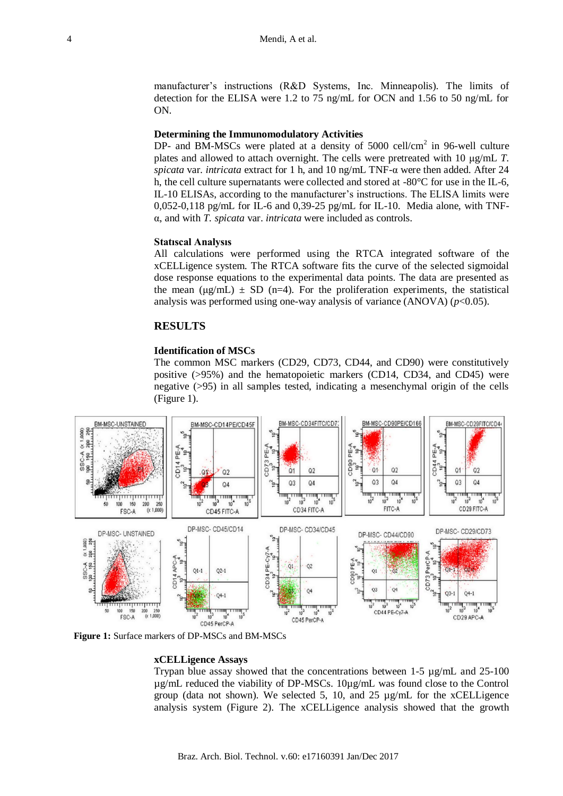manufacturer's instructions (R&D Systems, Inc. Minneapolis). The limits of detection for the ELISA were 1.2 to 75 ng/mL for OCN and 1.56 to 50 ng/mL for ON.

## **Determining the Immunomodulatory Activities**

DP- and BM-MSCs were plated at a density of 5000 cell/cm<sup>2</sup> in 96-well culture plates and allowed to attach overnight. The cells were pretreated with 10 μg/mL *T. spicata* var. *intricata* extract for 1 h, and 10 ng/mL TNF-α were then added. After 24 h, the cell culture supernatants were collected and stored at -80°C for use in the IL-6, IL-10 ELISAs, according to the manufacturer's instructions. The ELISA limits were 0,052-0,118 pg/mL for IL-6 and 0,39-25 pg/mL for IL-10. Media alone, with TNFα, and with *T. spicata* var. *intricata* were included as controls.

# **Statıscal Analysıs**

All calculations were performed using the RTCA integrated software of the xCELLigence system. The RTCA software fits the curve of the selected sigmoidal dose response equations to the experimental data points. The data are presented as the mean  $(\mu g/mL) \pm SD$  (n=4). For the proliferation experiments, the statistical analysis was performed using one-way analysis of variance  $(ANOVA)$   $(p<0.05)$ .

# **RESULTS**

# **Identification of MSCs**

The common MSC markers (CD29, CD73, CD44, and CD90) were constitutively positive (>95%) and the hematopoietic markers (CD14, CD34, and CD45) were negative (>95) in all samples tested, indicating a mesenchymal origin of the cells (Figure 1).



**Figure 1:** Surface markers of DP-MSCs and BM-MSCs

#### **xCELLigence Assays**

Trypan blue assay showed that the concentrations between 1-5 µg/mL and 25-100 µg/mL reduced the viability of DP-MSCs. 10µg/mL was found close to the Control group (data not shown). We selected 5, 10, and 25  $\mu$ g/mL for the xCELLigence analysis system (Figure 2). The xCELLigence analysis showed that the growth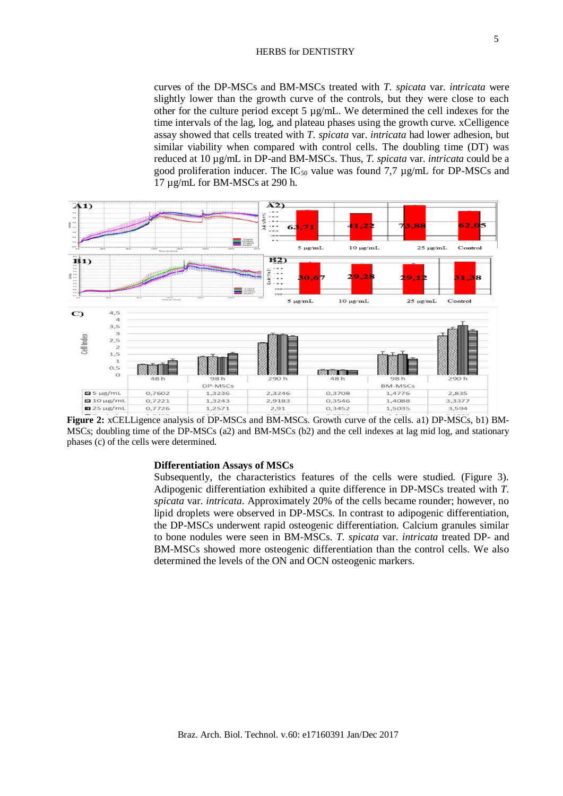curves of the DP-MSCs and BM-MSCs treated with *T. spicata* var. *intricata* were slightly lower than the growth curve of the controls, but they were close to each other for the culture period except 5  $\mu$ g/mL. We determined the cell indexes for the time intervals of the lag, log, and plateau phases using the growth curve. xCelligence assay showed that cells treated with *T. spicata* var. *intricata* had lower adhesion, but similar viability when compared with control cells. The doubling time (DT) was reduced at 10 µg/mL in DP-and BM-MSCs. Thus, *T. spicata* var. *intricata* could be a good proliferation inducer. The  $IC_{50}$  value was found 7,7  $\mu$ g/mL for DP-MSCs and 17 µg/mL for BM-MSCs at 290 h.



**Figure 2:** xCELLigence analysis of DP-MSCs and BM-MSCs. Growth curve of the cells. a1) DP-MSCs, b1) BM-MSCs; doubling time of the DP-MSCs (a2) and BM-MSCs (b2) and the cell indexes at lag mid log, and stationary phases (c) of the cells were determined.

#### **Differentiation Assays of MSCs**

Subsequently, the characteristics features of the cells were studied. (Figure 3). Adipogenic differentiation exhibited a quite difference in DP-MSCs treated with *T. spicata* var. *intricata*. Approximately 20% of the cells became rounder; however, no lipid droplets were observed in DP-MSCs. In contrast to adipogenic differentiation, the DP-MSCs underwent rapid osteogenic differentiation. Calcium granules similar to bone nodules were seen in BM-MSCs. *T. spicata* var. *intricata* treated DP- and BM-MSCs showed more osteogenic differentiation than the control cells. We also determined the levels of the ON and OCN osteogenic markers.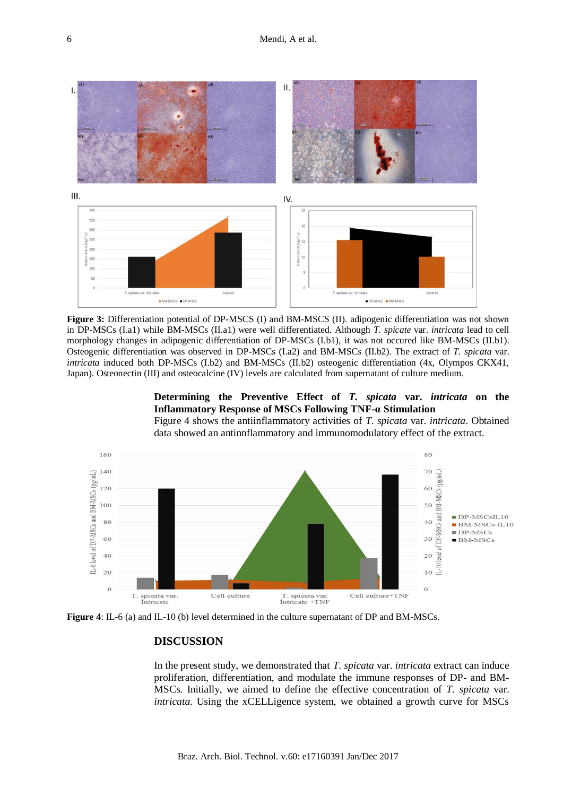

**Figure 3:** Differentiation potential of DP-MSCS (I) and BM-MSCS (II). adipogenic differentiation was not shown in DP-MSCs (I.a1) while BM-MSCs (II.a1) were well differentiated. Although *T. spicate* var. *intricata* lead to cell morphology changes in adipogenic differentiation of DP-MSCs (I.b1), it was not occured like BM-MSCs (II.b1). Osteogenic differentiation was observed in DP-MSCs (I.a2) and BM-MSCs (II.b2). The extract of *T. spicata* var. *intricata* induced both DP-MSCs (I.b2) and BM-MSCs (II.b2) osteogenic differentiation (4x, Olympos CKX41, Japan). Osteonectin (III) and osteocalcine (IV) levels are calculated from supernatant of culture medium.

# **Determining the Preventive Effect of** *T. spicata* **var.** *intricata* **on the Inflammatory Response of MSCs Following TNF-α Stimulation**

Figure 4 shows the antiinflammatory activities of *T. spicata* var. *intricata*. Obtained data showed an antinnflammatory and immunomodulatory effect of the extract.



**Figure 4**: IL-6 (a) and IL-10 (b) level determined in the culture supernatant of DP and BM-MSCs.

# **DISCUSSION**

In the present study, we demonstrated that *T. spicata* var. *intricata* extract can induce proliferation, differentiation, and modulate the immune responses of DP- and BM-MSCs. Initially, we aimed to define the effective concentration of *T. spicata* var. *intricata*. Using the xCELLigence system, we obtained a growth curve for MSCs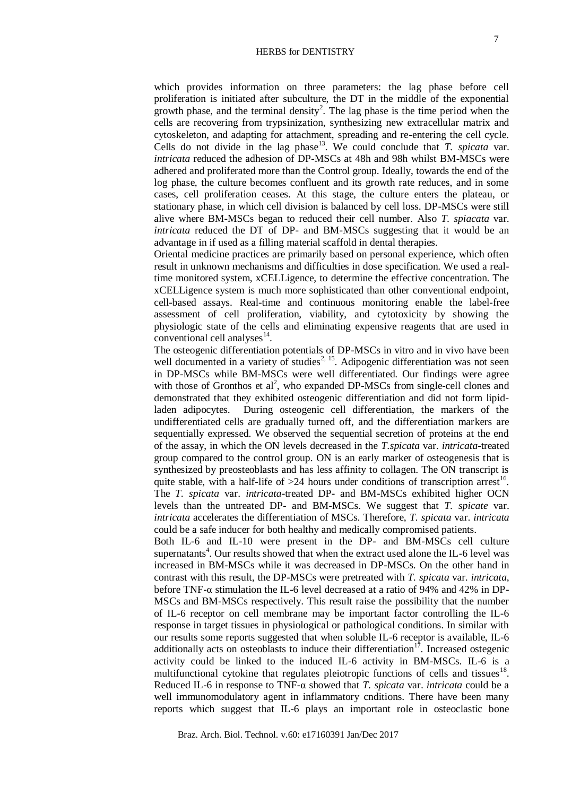which provides information on three parameters: the lag phase before cell proliferation is initiated after subculture, the DT in the middle of the exponential growth phase, and the terminal density<sup>2</sup>. The lag phase is the time period when the cells are recovering from trypsinization, synthesizing new extracellular matrix and cytoskeleton, and adapting for attachment, spreading and re-entering the cell cycle. Cells do not divide in the lag phase<sup>13</sup>. We could conclude that  $T$ . *spicata* var. *intricata* reduced the adhesion of DP-MSCs at 48h and 98h whilst BM-MSCs were adhered and proliferated more than the Control group. Ideally, towards the end of the log phase, the culture becomes confluent and its growth rate reduces, and in some cases, cell proliferation ceases. At this stage, the culture enters the plateau, or stationary phase, in which cell division is balanced by cell loss. DP-MSCs were still alive where BM-MSCs began to reduced their cell number. Also *T. spiacata* var. *intricata* reduced the DT of DP- and BM-MSCs suggesting that it would be an advantage in if used as a filling material scaffold in dental therapies.

Oriental medicine practices are primarily based on personal experience, which often result in unknown mechanisms and difficulties in dose specification. We used a realtime monitored system, xCELLigence, to determine the effective concentration. The xCELLigence system is much more sophisticated than other conventional endpoint, cell-based assays. Real-time and continuous monitoring enable the label-free assessment of cell proliferation, viability, and cytotoxicity by showing the physiologic state of the cells and eliminating expensive reagents that are used in  $\frac{1}{2}$  conventional cell analyses<sup>14</sup>.

The osteogenic differentiation potentials of DP-MSCs in vitro and in vivo have been well documented in a variety of studies<sup>2, 15</sup>. Adipogenic differentiation was not seen in DP-MSCs while BM-MSCs were well differentiated. Our findings were agree with those of Gronthos et  $al^2$ , who expanded DP-MSCs from single-cell clones and demonstrated that they exhibited osteogenic differentiation and did not form lipidladen adipocytes. During osteogenic cell differentiation, the markers of the undifferentiated cells are gradually turned off, and the differentiation markers are sequentially expressed. We observed the sequential secretion of proteins at the end of the assay, in which the ON levels decreased in the *T.spicata* var. *intricata*-treated group compared to the control group. ON is an early marker of osteogenesis that is synthesized by preosteoblasts and has less affinity to collagen. The ON transcript is quite stable, with a half-life of  $>24$  hours under conditions of transcription arrest<sup>16</sup>. The *T. spicata* var. *intricata*-treated DP- and BM-MSCs exhibited higher OCN levels than the untreated DP- and BM-MSCs. We suggest that *T. spicate* var. *intricata* accelerates the differentiation of MSCs. Therefore, *T. spicata* var. *intricata* could be a safe inducer for both healthy and medically compromised patients.

Both IL-6 and IL-10 were present in the DP- and BM-MSCs cell culture supernatants<sup>4</sup>. Our results showed that when the extract used alone the IL-6 level was increased in BM-MSCs while it was decreased in DP-MSCs. On the other hand in contrast with this result, the DP-MSCs were pretreated with *T. spicata* var. *intricata*, before TNF-α stimulation the IL-6 level decreased at a ratio of 94% and 42% in DP-MSCs and BM-MSCs respectively. This result raise the possibility that the number of IL-6 receptor on cell membrane may be important factor controlling the IL-6 response in target tissues in physiological or pathological conditions. In similar with our results some reports suggested that when soluble IL-6 receptor is available, IL-6 additionally acts on osteoblasts to induce their differentiation<sup>17</sup>. Increased ostegenic activity could be linked to the induced IL-6 activity in BM-MSCs. IL-6 is a multifunctional cytokine that regulates pleiotropic functions of cells and tissues $18$ . Reduced IL-6 in response to TNF-α showed that *T. spicata* var. *intricata* could be a well immunomodulatory agent in inflammatory cnditions. There have been many reports which suggest that IL-6 plays an important role in osteoclastic bone

Braz. Arch. Biol. Technol. v.60: e17160391 Jan/Dec 2017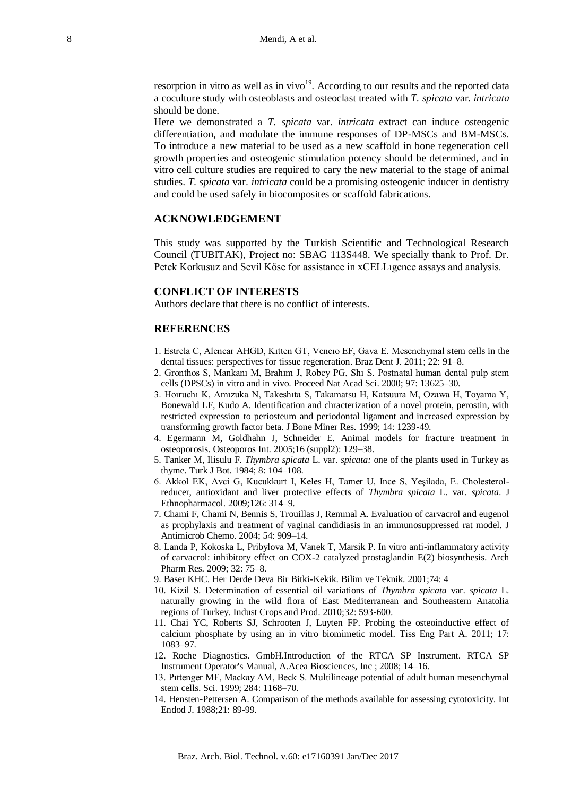resorption in vitro as well as in vivo $19$ . According to our results and the reported data a coculture study with osteoblasts and osteoclast treated with *T. spicata* var. *intricata* should be done.

Here we demonstrated a *T. spicata* var. *intricata* extract can induce osteogenic differentiation, and modulate the immune responses of DP-MSCs and BM-MSCs. To introduce a new material to be used as a new scaffold in bone regeneration cell growth properties and osteogenic stimulation potency should be determined, and in vitro cell culture studies are required to cary the new material to the stage of animal studies. *T. spicata* var. *intricata* could be a promising osteogenic inducer in dentistry and could be used safely in biocomposites or scaffold fabrications.

## **ACKNOWLEDGEMENT**

This study was supported by the Turkish Scientific and Technological Research Council (TUBITAK), Project no: SBAG 113S448. We specially thank to Prof. Dr. Petek Korkusuz and Sevil Köse for assistance in xCELLıgence assays and analysis.

#### **CONFLICT OF INTERESTS**

Authors declare that there is no conflict of interests.

#### **REFERENCES**

- 1. Estrela C, Alencar AHGD, Kıtten GT, Vencıo EF, Gava E. Mesenchymal stem cells in the dental tissues: perspectives for tissue regeneration. Braz Dent J. 2011; 22: 91–8.
- 2. Gronthos S, Mankanı M, Brahım J, Robey PG, Shı S. Postnatal human dental pulp stem cells (DPSCs) in vitro and in vivo. Proceed Nat Acad Sci. 2000; 97: 13625–30.
- 3. Hoıruchı K, Amızuka N, Takeshıta S, Takamatsu H, Katsuura M, Ozawa H, Toyama Y, Bonewald LF, Kudo A. Identification and chracterization of a novel protein, perostin, with restricted expression to periosteum and periodontal ligament and increased expression by transforming growth factor beta. J Bone Miner Res. 1999; 14: 1239-49.
- 4. Egermann M, Goldhahn J, Schneider E. Animal models for fracture treatment in osteoporosis. Osteoporos Int. 2005;16 (suppl2): 129–38.
- 5. Tanker M, Ilisulu F. *Thymbra spicata* L. var. *spicata:* one of the plants used in Turkey as thyme. Turk J Bot. 1984; 8: 104–108.
- 6. Akkol EK, Avci G, Kucukkurt I, Keles H, Tamer U, Ince S, Yeşilada, E. Cholesterolreducer, antioxidant and liver protective effects of *Thymbra spicata* L. var. *spicata*. J Ethnopharmacol. 2009;126: 314–9.
- 7. Chami F, Chami N, Bennis S, Trouillas J, Remmal A. Evaluation of carvacrol and eugenol as prophylaxis and treatment of vaginal candidiasis in an immunosuppressed rat model. J Antimicrob Chemo. 2004; 54: 909–14.
- 8. Landa P, Kokoska L, Pribylova M, Vanek T, Marsik P. In vitro anti-inflammatory activity of carvacrol: inhibitory effect on COX-2 catalyzed prostaglandin E(2) biosynthesis. Arch Pharm Res. 2009; 32: 75–8.
- 9. Baser KHC. Her Derde Deva Bir Bitki-Kekik. Bilim ve Teknik. 2001;74: 4
- 10. Kizil S. Determination of essential oil variations of *Thymbra spicata* var. *spicata* L. naturally growing in the wild flora of East Mediterranean and Southeastern Anatolia regions of Turkey. Indust Crops and Prod. 2010;32: 593-600.
- 11. Chai YC, Roberts SJ, Schrooten J, Luyten FP. Probing the osteoinductive effect of calcium phosphate by using an in vitro biomimetic model. Tiss Eng Part A. 2011; 17: 1083–97.
- 12. Roche Diagnostics. GmbH.Introduction of the RTCA SP Instrument. RTCA SP Instrument Operator's Manual, A.Acea Biosciences, Inc ; 2008; 14–16.
- 13. Pıttenger MF, Mackay AM, Beck S. Multilineage potential of adult human mesenchymal stem cells. Sci. 1999; 284: 1168–70.
- 14. Hensten-Pettersen A. Comparison of the methods available for assessing cytotoxicity. Int Endod J. 1988;21: 89-99.